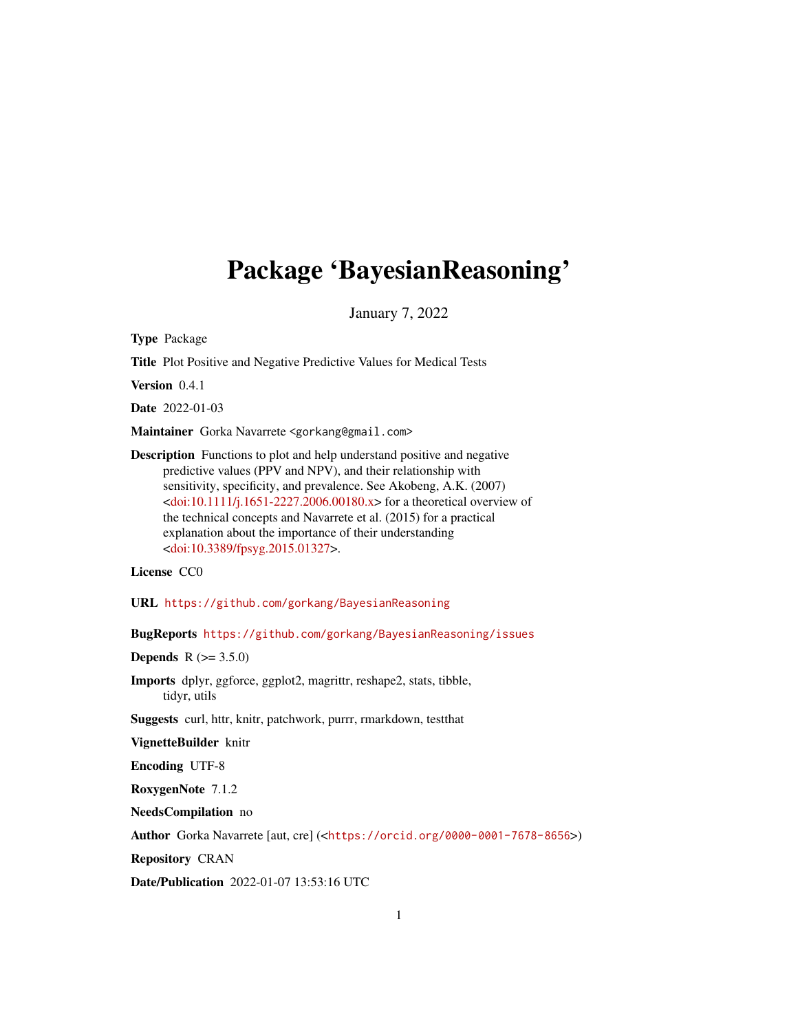# Package 'BayesianReasoning'

January 7, 2022

Type Package

Title Plot Positive and Negative Predictive Values for Medical Tests

Version 0.4.1

Date 2022-01-03

Maintainer Gorka Navarrete <gorkang@gmail.com>

Description Functions to plot and help understand positive and negative predictive values (PPV and NPV), and their relationship with sensitivity, specificity, and prevalence. See Akobeng, A.K. (2007)  $\langle \text{doi:10.1111}/j.1651-2227.2006.00180.x \rangle$  for a theoretical overview of the technical concepts and Navarrete et al. (2015) for a practical explanation about the importance of their understanding [<doi:10.3389/fpsyg.2015.01327>](https://doi.org/10.3389/fpsyg.2015.01327).

License CC0

URL <https://github.com/gorkang/BayesianReasoning>

BugReports <https://github.com/gorkang/BayesianReasoning/issues>

**Depends** R  $(>= 3.5.0)$ 

Imports dplyr, ggforce, ggplot2, magrittr, reshape2, stats, tibble, tidyr, utils

Suggests curl, httr, knitr, patchwork, purrr, rmarkdown, testthat

VignetteBuilder knitr

Encoding UTF-8

RoxygenNote 7.1.2

NeedsCompilation no

Author Gorka Navarrete [aut, cre] (<<https://orcid.org/0000-0001-7678-8656>>)

Repository CRAN

Date/Publication 2022-01-07 13:53:16 UTC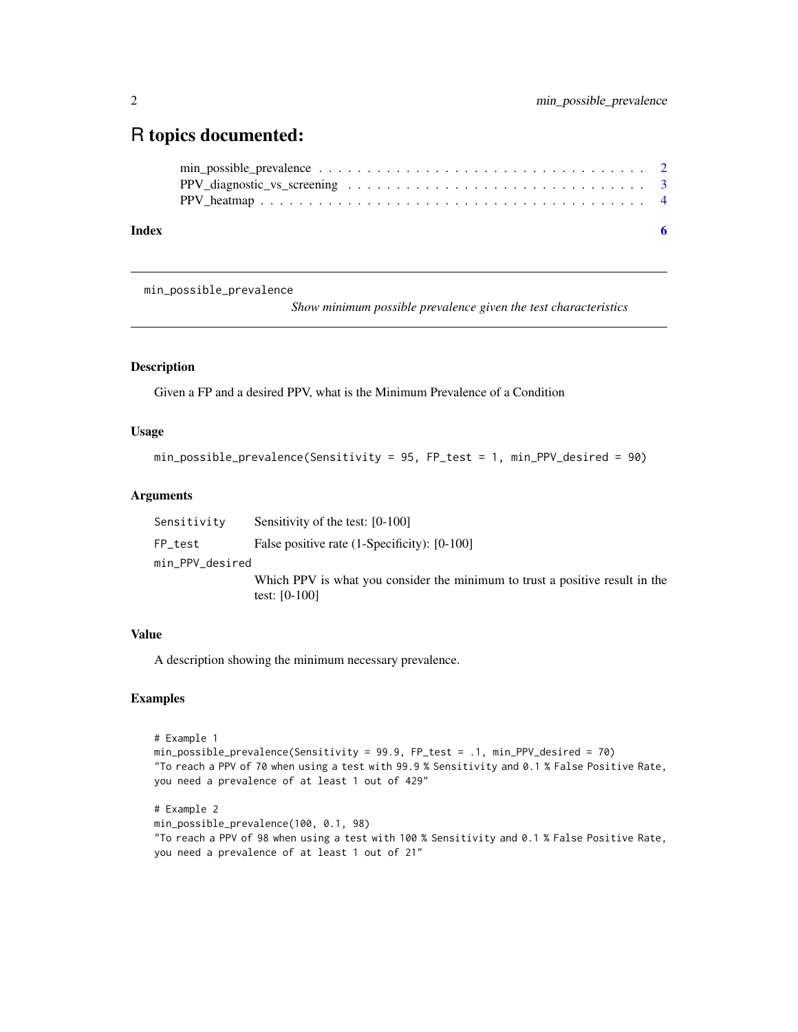## <span id="page-1-0"></span>R topics documented:

| Index |  |
|-------|--|
|       |  |
|       |  |
|       |  |

min\_possible\_prevalence

*Show minimum possible prevalence given the test characteristics*

#### Description

Given a FP and a desired PPV, what is the Minimum Prevalence of a Condition

#### Usage

```
min_possible_prevalence(Sensitivity = 95, FP_test = 1, min_PPV_desired = 90)
```
#### Arguments

| Sensitivity     | Sensitivity of the test: [0-100]                                                                |
|-----------------|-------------------------------------------------------------------------------------------------|
| FP_test         | False positive rate (1-Specificity): [0-100]                                                    |
| min_PPV_desired |                                                                                                 |
|                 | Which PPV is what you consider the minimum to trust a positive result in the<br>test: $[0-100]$ |

#### Value

A description showing the minimum necessary prevalence.

#### Examples

```
# Example 1
min_possible_prevalence(Sensitivity = 99.9, FP_test = .1, min_PPV_desired = 70)
"To reach a PPV of 70 when using a test with 99.9 % Sensitivity and 0.1 % False Positive Rate,
you need a prevalence of at least 1 out of 429"
# Example 2
min_possible_prevalence(100, 0.1, 98)
"To reach a PPV of 98 when using a test with 100 % Sensitivity and 0.1 % False Positive Rate,
```

```
you need a prevalence of at least 1 out of 21"
```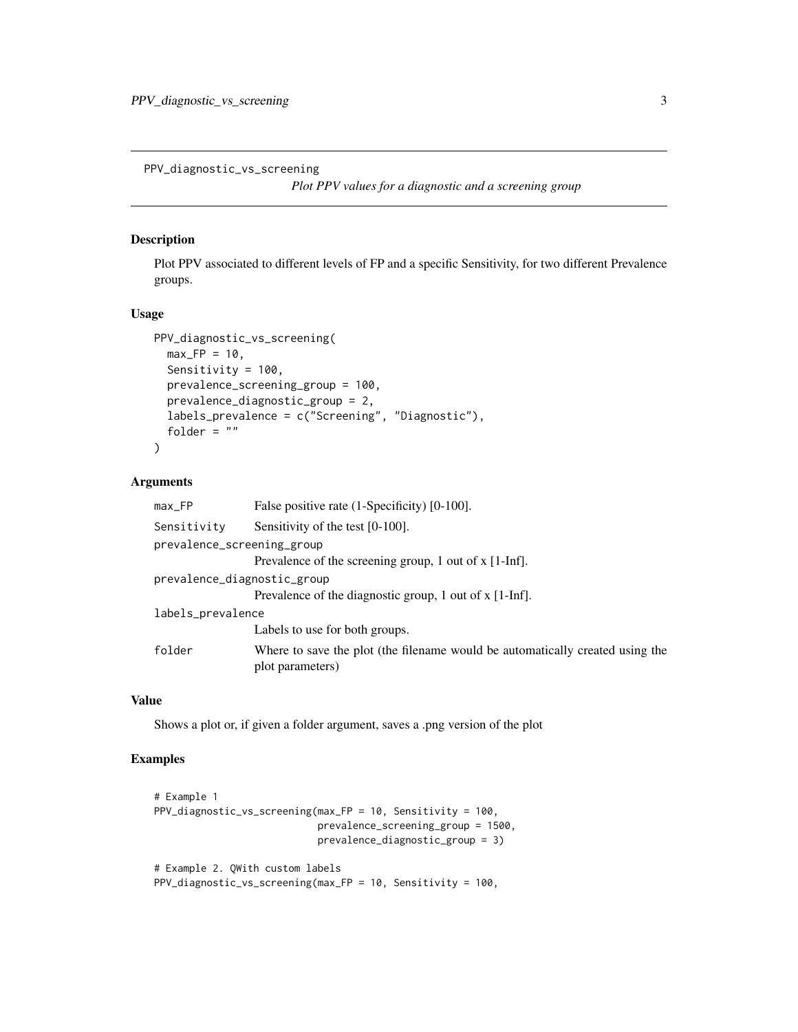<span id="page-2-0"></span>PPV\_diagnostic\_vs\_screening

*Plot PPV values for a diagnostic and a screening group*

#### Description

Plot PPV associated to different levels of FP and a specific Sensitivity, for two different Prevalence groups.

#### Usage

```
PPV_diagnostic_vs_screening(
 max_F P = 10,
 Sensitivity = 100,
 prevalence_screening_group = 100,
 prevalence_diagnostic_group = 2,
  labels_prevalence = c("Screening", "Diagnostic"),
  folder = ")
```
#### Arguments

| max_FP                      | False positive rate (1-Specificity) [0-100].                                                      |
|-----------------------------|---------------------------------------------------------------------------------------------------|
| Sensitivity                 | Sensitivity of the test [0-100].                                                                  |
| prevalence_screening_group  |                                                                                                   |
|                             | Prevalence of the screening group, 1 out of x [1-Inf].                                            |
| prevalence_diagnostic_group |                                                                                                   |
|                             | Prevalence of the diagnostic group, 1 out of x [1-Inf].                                           |
| labels_prevalence           |                                                                                                   |
|                             | Labels to use for both groups.                                                                    |
| folder                      | Where to save the plot (the filename would be automatically created using the<br>plot parameters) |

#### Value

Shows a plot or, if given a folder argument, saves a .png version of the plot

#### Examples

```
# Example 1
PPV_diagnostic_vs_screening(max_FP = 10, Sensitivity = 100,
                            prevalence_screening_group = 1500,
                            prevalence_diagnostic_group = 3)
# Example 2. QWith custom labels
```

```
PPV_diagnostic_vs_screening(max_FP = 10, Sensitivity = 100,
```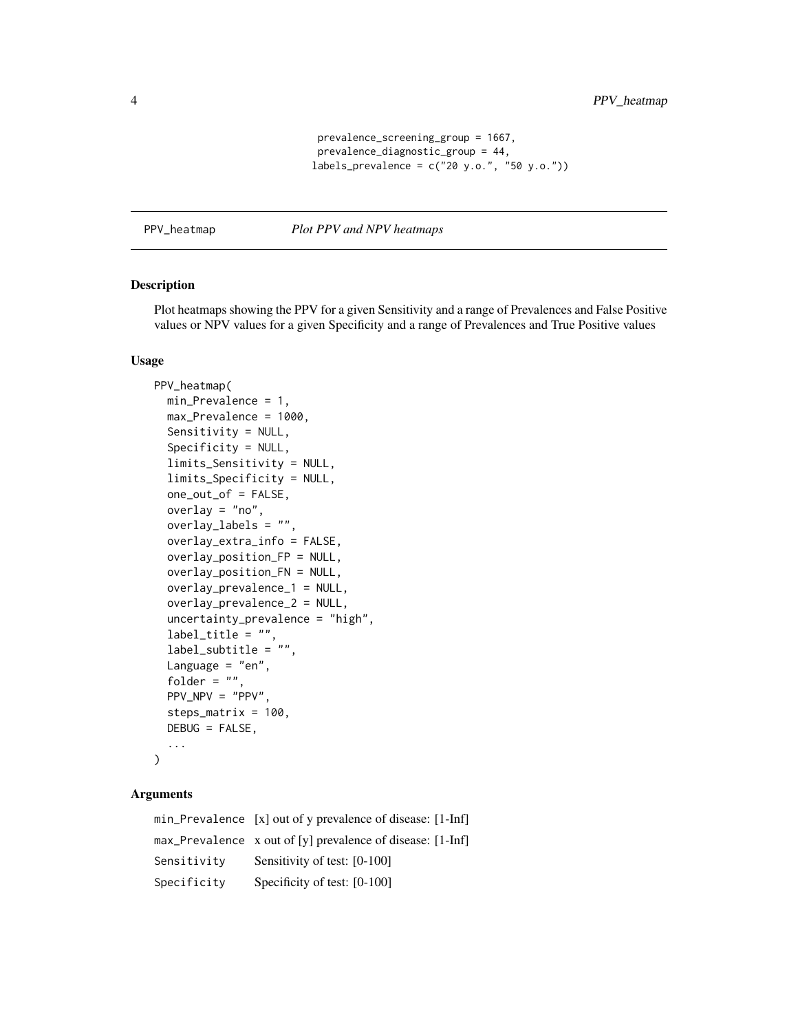```
prevalence_screening_group = 1667,
 prevalence_diagnostic_group = 44,
labels_prevalence = c("20 y.o.", "50 y.o."))
```
<span id="page-3-0"></span>PPV\_heatmap *Plot PPV and NPV heatmaps*

#### Description

Plot heatmaps showing the PPV for a given Sensitivity and a range of Prevalences and False Positive values or NPV values for a given Specificity and a range of Prevalences and True Positive values

#### Usage

```
PPV_heatmap(
 min_Prevalence = 1,
  max_Prevalence = 1000,
  Sensitivity = NULL,
  Specificity = NULL,
  limits_Sensitivity = NULL,
  limits_Specificity = NULL,
  one_out_of = FALSE,
  overlay = "no",
  overlay_labels = "",
  overlay_extra_info = FALSE,
  overlay_position_FP = NULL,
  overlay_position_FN = NULL,
  overlay_prevalence_1 = NULL,
  overlay_prevalence_2 = NULL,
  uncertainty_prevalence = "high",
  label\_title = "",label_subtitle = "",
  Language = "en",folder = ",
 PPV_NPV = "PPV",
  steps_matrix = 100,
 DEBUG = FALSE,
  ...
)
```
#### Arguments

|             | min_Prevalence [x] out of y prevalence of disease: [1-Inf]   |
|-------------|--------------------------------------------------------------|
|             | max_Prevalence $x$ out of [y] prevalence of disease: [1-Inf] |
| Sensitivity | Sensitivity of test: [0-100]                                 |
| Specificity | Specificity of test: [0-100]                                 |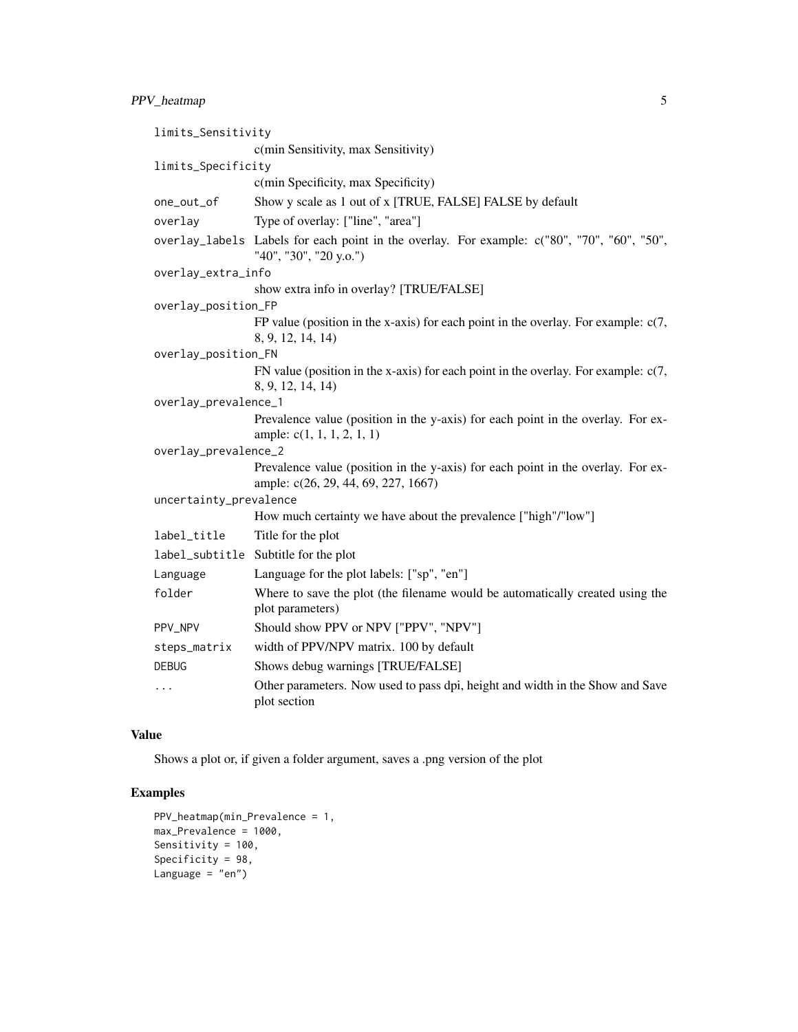#### PPV\_heatmap 5

| limits_Sensitivity     |                                                                                                                         |  |  |  |  |
|------------------------|-------------------------------------------------------------------------------------------------------------------------|--|--|--|--|
|                        | c(min Sensitivity, max Sensitivity)                                                                                     |  |  |  |  |
| limits_Specificity     |                                                                                                                         |  |  |  |  |
|                        | c(min Specificity, max Specificity)                                                                                     |  |  |  |  |
| one_out_of             | Show y scale as 1 out of x [TRUE, FALSE] FALSE by default                                                               |  |  |  |  |
| overlay                | Type of overlay: ["line", "area"]                                                                                       |  |  |  |  |
|                        | overlay_labels Labels for each point in the overlay. For example: c("80", "70", "60", "50",<br>"40", "30", "20 y.o.")   |  |  |  |  |
| overlay_extra_info     |                                                                                                                         |  |  |  |  |
|                        | show extra info in overlay? [TRUE/FALSE]                                                                                |  |  |  |  |
| overlay_position_FP    |                                                                                                                         |  |  |  |  |
|                        | FP value (position in the x-axis) for each point in the overlay. For example: $c(7, 7)$<br>8, 9, 12, 14, 14)            |  |  |  |  |
| overlay_position_FN    |                                                                                                                         |  |  |  |  |
|                        | FN value (position in the x-axis) for each point in the overlay. For example: $c(7, 7)$<br>8, 9, 12, 14, 14)            |  |  |  |  |
| overlay_prevalence_1   |                                                                                                                         |  |  |  |  |
|                        | Prevalence value (position in the y-axis) for each point in the overlay. For ex-<br>ample: $c(1, 1, 1, 2, 1, 1)$        |  |  |  |  |
| overlay_prevalence_2   |                                                                                                                         |  |  |  |  |
|                        | Prevalence value (position in the y-axis) for each point in the overlay. For ex-<br>ample: c(26, 29, 44, 69, 227, 1667) |  |  |  |  |
| uncertainty_prevalence |                                                                                                                         |  |  |  |  |
|                        | How much certainty we have about the prevalence ["high"/"low"]                                                          |  |  |  |  |
| label_title            | Title for the plot                                                                                                      |  |  |  |  |
|                        | label_subtitle Subtitle for the plot                                                                                    |  |  |  |  |
| Language               | Language for the plot labels: ["sp", "en"]                                                                              |  |  |  |  |
| folder                 | Where to save the plot (the filename would be automatically created using the<br>plot parameters)                       |  |  |  |  |
| PPV_NPV                | Should show PPV or NPV ["PPV", "NPV"]                                                                                   |  |  |  |  |
| steps_matrix           | width of PPV/NPV matrix. 100 by default                                                                                 |  |  |  |  |
| DEBUG                  | Shows debug warnings [TRUE/FALSE]                                                                                       |  |  |  |  |
| $\ddots$               | Other parameters. Now used to pass dpi, height and width in the Show and Save<br>plot section                           |  |  |  |  |

#### Value

Shows a plot or, if given a folder argument, saves a .png version of the plot

### Examples

```
PPV_heatmap(min_Prevalence = 1,
max_Prevalence = 1000,
Sensitivity = 100,
Specificity = 98,
Language = "en")
```